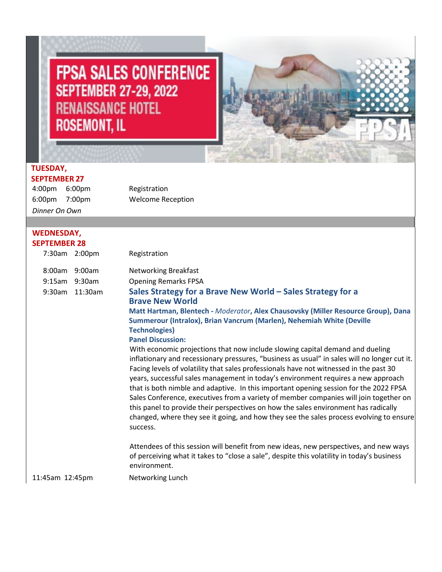## **FPSA SALES CONFERENCE SEPTEMBER 27-29, 2022**<br>RENAISSANCE HOTEL **ROSEMONT, IL**



## **TUESDAY, SEPTEMBER 27**

4:00pm 6:00pm Registration 6:00pm 7:00pm Welcome Reception

## **WEDNESDAY, SEPTEMBER 28**

*Dinner On Own*

| JLF I LIVIDLN 40 |                    |                                                                                                                                                                                                                                                                                                                                                                                                                                                                                                                                                                                                                                                                                                                                              |
|------------------|--------------------|----------------------------------------------------------------------------------------------------------------------------------------------------------------------------------------------------------------------------------------------------------------------------------------------------------------------------------------------------------------------------------------------------------------------------------------------------------------------------------------------------------------------------------------------------------------------------------------------------------------------------------------------------------------------------------------------------------------------------------------------|
| 7:30am           | 2:00 <sub>pm</sub> | Registration                                                                                                                                                                                                                                                                                                                                                                                                                                                                                                                                                                                                                                                                                                                                 |
| 8:00am           | 9:00am             | <b>Networking Breakfast</b>                                                                                                                                                                                                                                                                                                                                                                                                                                                                                                                                                                                                                                                                                                                  |
| 9:15am           | 9:30am             | <b>Opening Remarks FPSA</b>                                                                                                                                                                                                                                                                                                                                                                                                                                                                                                                                                                                                                                                                                                                  |
| 9:30am           | 11:30am            | Sales Strategy for a Brave New World - Sales Strategy for a<br><b>Brave New World</b>                                                                                                                                                                                                                                                                                                                                                                                                                                                                                                                                                                                                                                                        |
|                  |                    | Matt Hartman, Blentech - Moderator, Alex Chausovsky (Miller Resource Group), Dana<br>Summerour (Intralox), Brian Vancrum (Marlen), Nehemiah White (Deville<br><b>Technologies)</b>                                                                                                                                                                                                                                                                                                                                                                                                                                                                                                                                                           |
|                  |                    | <b>Panel Discussion:</b>                                                                                                                                                                                                                                                                                                                                                                                                                                                                                                                                                                                                                                                                                                                     |
|                  |                    | With economic projections that now include slowing capital demand and dueling<br>inflationary and recessionary pressures, "business as usual" in sales will no longer cut it.<br>Facing levels of volatility that sales professionals have not witnessed in the past 30<br>years, successful sales management in today's environment requires a new approach<br>that is both nimble and adaptive. In this important opening session for the 2022 FPSA<br>Sales Conference, executives from a variety of member companies will join together on<br>this panel to provide their perspectives on how the sales environment has radically<br>changed, where they see it going, and how they see the sales process evolving to ensure<br>success. |
|                  |                    | Attendees of this session will benefit from new ideas, new perspectives, and new ways<br>of perceiving what it takes to "close a sale", despite this volatility in today's business<br>environment.                                                                                                                                                                                                                                                                                                                                                                                                                                                                                                                                          |
| 11:45am 12:45pm  |                    | Networking Lunch                                                                                                                                                                                                                                                                                                                                                                                                                                                                                                                                                                                                                                                                                                                             |
|                  |                    |                                                                                                                                                                                                                                                                                                                                                                                                                                                                                                                                                                                                                                                                                                                                              |